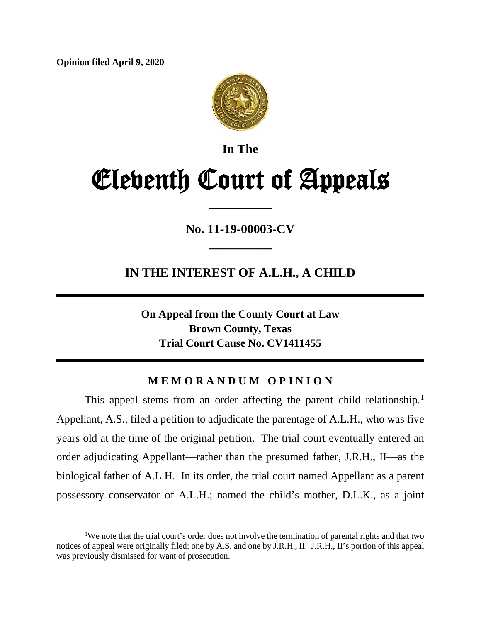**Opinion filed April 9, 2020**



**In The**

# Eleventh Court of Appeals

**\_\_\_\_\_\_\_\_\_\_**

**No. 11-19-00003-CV \_\_\_\_\_\_\_\_\_\_**

**IN THE INTEREST OF A.L.H., A CHILD**

**On Appeal from the County Court at Law Brown County, Texas Trial Court Cause No. CV1411455**

## **M E M O R A N D U M O P I N I O N**

This appeal stems from an order affecting the parent-child relationship.<sup>[1](#page-0-0)</sup> Appellant, A.S., filed a petition to adjudicate the parentage of A.L.H., who was five years old at the time of the original petition. The trial court eventually entered an order adjudicating Appellant—rather than the presumed father, J.R.H., II—as the biological father of A.L.H. In its order, the trial court named Appellant as a parent possessory conservator of A.L.H.; named the child's mother, D.L.K., as a joint

<span id="page-0-0"></span><sup>&</sup>lt;sup>1</sup>We note that the trial court's order does not involve the termination of parental rights and that two notices of appeal were originally filed: one by A.S. and one by J.R.H., II. J.R.H., II's portion of this appeal was previously dismissed for want of prosecution.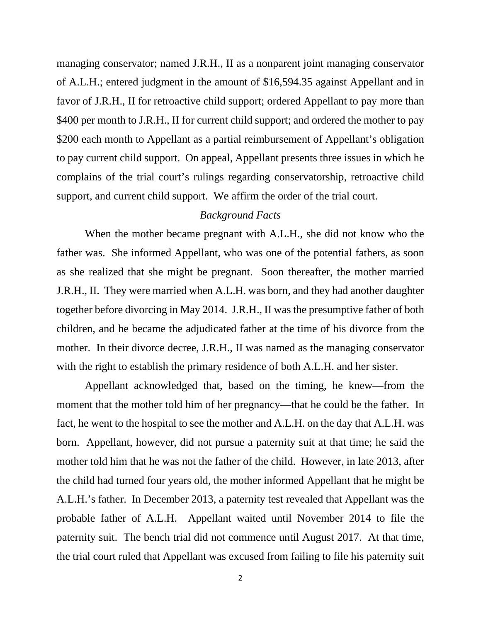managing conservator; named J.R.H., II as a nonparent joint managing conservator of A.L.H.; entered judgment in the amount of \$16,594.35 against Appellant and in favor of J.R.H., II for retroactive child support; ordered Appellant to pay more than \$400 per month to J.R.H., II for current child support; and ordered the mother to pay \$200 each month to Appellant as a partial reimbursement of Appellant's obligation to pay current child support. On appeal, Appellant presents three issues in which he complains of the trial court's rulings regarding conservatorship, retroactive child support, and current child support. We affirm the order of the trial court.

#### *Background Facts*

When the mother became pregnant with A.L.H., she did not know who the father was. She informed Appellant, who was one of the potential fathers, as soon as she realized that she might be pregnant. Soon thereafter, the mother married J.R.H., II. They were married when A.L.H. was born, and they had another daughter together before divorcing in May 2014. J.R.H., II was the presumptive father of both children, and he became the adjudicated father at the time of his divorce from the mother. In their divorce decree, J.R.H., II was named as the managing conservator with the right to establish the primary residence of both A.L.H. and her sister.

Appellant acknowledged that, based on the timing, he knew—from the moment that the mother told him of her pregnancy—that he could be the father. In fact, he went to the hospital to see the mother and A.L.H. on the day that A.L.H. was born. Appellant, however, did not pursue a paternity suit at that time; he said the mother told him that he was not the father of the child. However, in late 2013, after the child had turned four years old, the mother informed Appellant that he might be A.L.H.'s father. In December 2013, a paternity test revealed that Appellant was the probable father of A.L.H. Appellant waited until November 2014 to file the paternity suit. The bench trial did not commence until August 2017. At that time, the trial court ruled that Appellant was excused from failing to file his paternity suit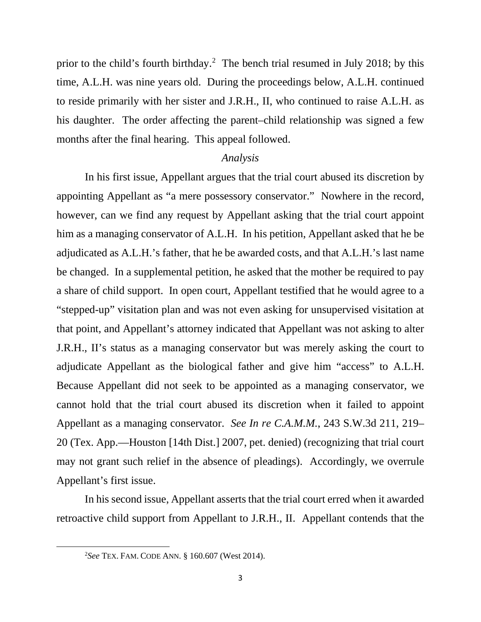prior to the child's fourth birthday.[2](#page-2-0) The bench trial resumed in July 2018; by this time, A.L.H. was nine years old. During the proceedings below, A.L.H. continued to reside primarily with her sister and J.R.H., II, who continued to raise A.L.H. as his daughter. The order affecting the parent–child relationship was signed a few months after the final hearing. This appeal followed.

#### *Analysis*

In his first issue, Appellant argues that the trial court abused its discretion by appointing Appellant as "a mere possessory conservator." Nowhere in the record, however, can we find any request by Appellant asking that the trial court appoint him as a managing conservator of A.L.H. In his petition, Appellant asked that he be adjudicated as A.L.H.'s father, that he be awarded costs, and that A.L.H.'s last name be changed. In a supplemental petition, he asked that the mother be required to pay a share of child support. In open court, Appellant testified that he would agree to a "stepped-up" visitation plan and was not even asking for unsupervised visitation at that point, and Appellant's attorney indicated that Appellant was not asking to alter J.R.H., II's status as a managing conservator but was merely asking the court to adjudicate Appellant as the biological father and give him "access" to A.L.H. Because Appellant did not seek to be appointed as a managing conservator, we cannot hold that the trial court abused its discretion when it failed to appoint Appellant as a managing conservator. *See In re C.A.M.M.*, 243 S.W.3d 211, 219– 20 (Tex. App.—Houston [14th Dist.] 2007, pet. denied) (recognizing that trial court may not grant such relief in the absence of pleadings). Accordingly, we overrule Appellant's first issue.

<span id="page-2-0"></span>In his second issue, Appellant asserts that the trial court erred when it awarded retroactive child support from Appellant to J.R.H., II. Appellant contends that the

<sup>2</sup> *See* TEX. FAM. CODE ANN. § 160.607 (West 2014).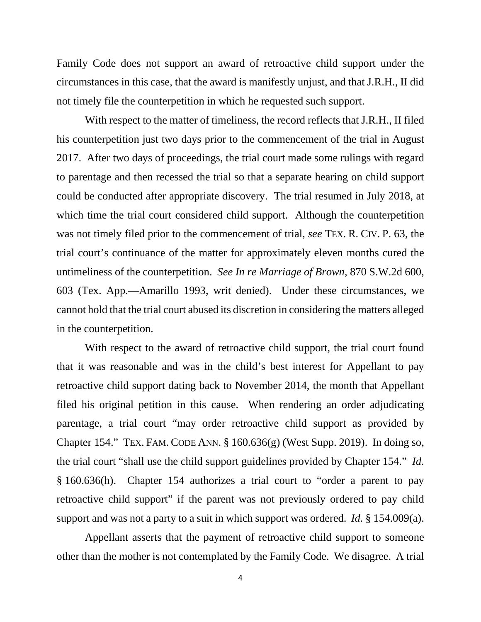Family Code does not support an award of retroactive child support under the circumstances in this case, that the award is manifestly unjust, and that J.R.H., II did not timely file the counterpetition in which he requested such support.

With respect to the matter of timeliness, the record reflects that J.R.H., II filed his counterpetition just two days prior to the commencement of the trial in August 2017. After two days of proceedings, the trial court made some rulings with regard to parentage and then recessed the trial so that a separate hearing on child support could be conducted after appropriate discovery. The trial resumed in July 2018, at which time the trial court considered child support. Although the counterpetition was not timely filed prior to the commencement of trial, *see* TEX. R. CIV. P. 63, the trial court's continuance of the matter for approximately eleven months cured the untimeliness of the counterpetition. *See In re Marriage of Brown*, 870 S.W.2d 600, 603 (Tex. App.—Amarillo 1993, writ denied). Under these circumstances, we cannot hold that the trial court abused its discretion in considering the matters alleged in the counterpetition.

With respect to the award of retroactive child support, the trial court found that it was reasonable and was in the child's best interest for Appellant to pay retroactive child support dating back to November 2014, the month that Appellant filed his original petition in this cause. When rendering an order adjudicating parentage, a trial court "may order retroactive child support as provided by Chapter 154." TEX. FAM. CODE ANN.  $\S 160.636(g)$  (West Supp. 2019). In doing so, the trial court "shall use the child support guidelines provided by Chapter 154." *Id.* § 160.636(h). Chapter 154 authorizes a trial court to "order a parent to pay retroactive child support" if the parent was not previously ordered to pay child support and was not a party to a suit in which support was ordered. *Id.* § 154.009(a).

Appellant asserts that the payment of retroactive child support to someone other than the mother is not contemplated by the Family Code. We disagree. A trial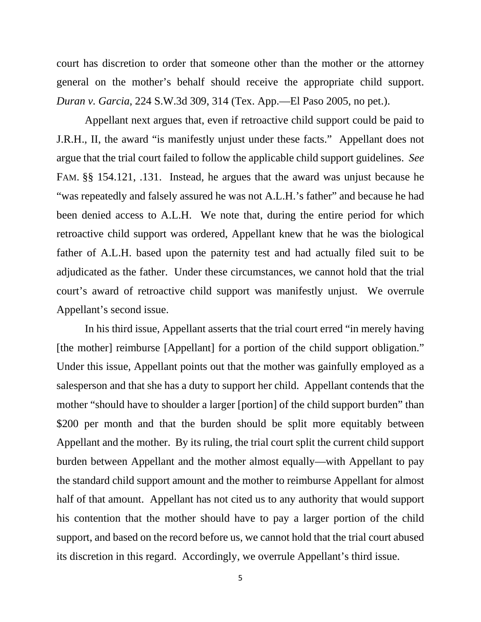court has discretion to order that someone other than the mother or the attorney general on the mother's behalf should receive the appropriate child support. *Duran v. Garcia*, 224 S.W.3d 309, 314 (Tex. App.—El Paso 2005, no pet.).

Appellant next argues that, even if retroactive child support could be paid to J.R.H., II, the award "is manifestly unjust under these facts." Appellant does not argue that the trial court failed to follow the applicable child support guidelines. *See* FAM. §§ 154.121, .131. Instead, he argues that the award was unjust because he "was repeatedly and falsely assured he was not A.L.H.'s father" and because he had been denied access to A.L.H. We note that, during the entire period for which retroactive child support was ordered, Appellant knew that he was the biological father of A.L.H. based upon the paternity test and had actually filed suit to be adjudicated as the father. Under these circumstances, we cannot hold that the trial court's award of retroactive child support was manifestly unjust. We overrule Appellant's second issue.

In his third issue, Appellant asserts that the trial court erred "in merely having [the mother] reimburse [Appellant] for a portion of the child support obligation." Under this issue, Appellant points out that the mother was gainfully employed as a salesperson and that she has a duty to support her child. Appellant contends that the mother "should have to shoulder a larger [portion] of the child support burden" than \$200 per month and that the burden should be split more equitably between Appellant and the mother. By its ruling, the trial court split the current child support burden between Appellant and the mother almost equally—with Appellant to pay the standard child support amount and the mother to reimburse Appellant for almost half of that amount. Appellant has not cited us to any authority that would support his contention that the mother should have to pay a larger portion of the child support, and based on the record before us, we cannot hold that the trial court abused its discretion in this regard. Accordingly, we overrule Appellant's third issue.